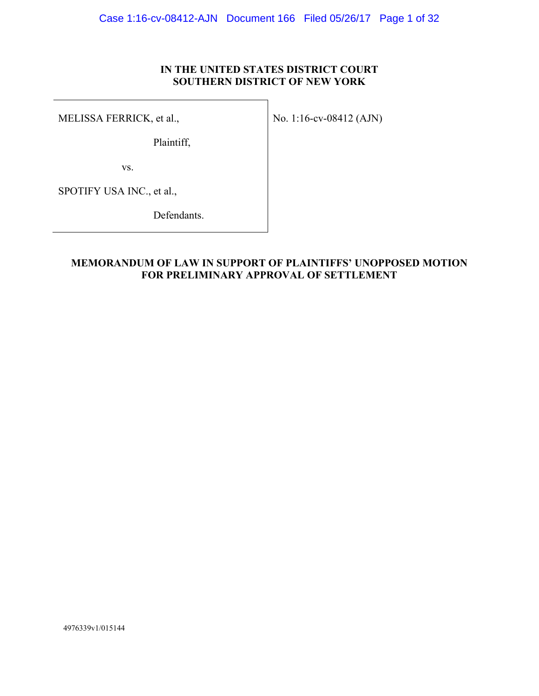# **IN THE UNITED STATES DISTRICT COURT SOUTHERN DISTRICT OF NEW YORK**

MELISSA FERRICK, et al.,

No. 1:16-cv-08412 (AJN)

Plaintiff,

vs.

SPOTIFY USA INC., et al.,

Defendants.

# **MEMORANDUM OF LAW IN SUPPORT OF PLAINTIFFS' UNOPPOSED MOTION FOR PRELIMINARY APPROVAL OF SETTLEMENT**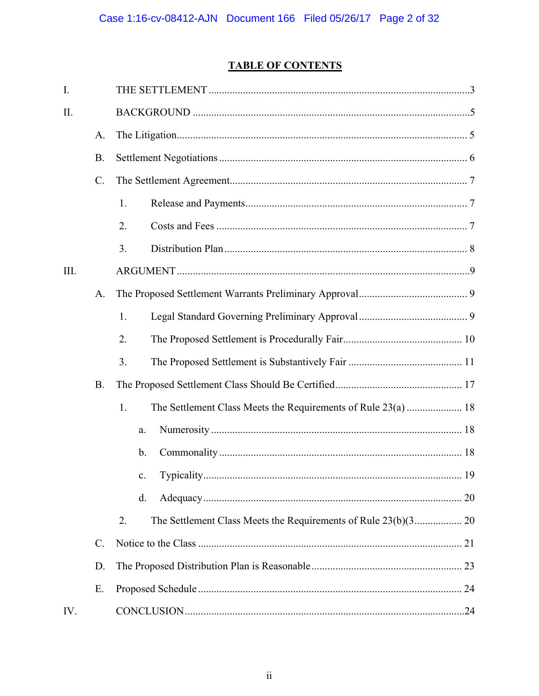# **TABLE OF CONTENTS**

| $I_{\cdot}$ |                 |         |  |
|-------------|-----------------|---------|--|
| II.         |                 |         |  |
|             | A.              |         |  |
| <b>B.</b>   |                 |         |  |
|             | $C$ .           |         |  |
| 1.          |                 |         |  |
|             |                 | 2.      |  |
|             |                 | 3.      |  |
| III.        |                 |         |  |
|             | A.              |         |  |
|             |                 | 1.      |  |
|             |                 | 2.      |  |
|             |                 | 3.      |  |
|             | <b>B.</b>       |         |  |
|             |                 | 1.      |  |
|             |                 | a.      |  |
|             |                 | b.      |  |
|             |                 | $c_{-}$ |  |
|             |                 | d.      |  |
|             |                 | 2.      |  |
|             | $\mathcal{C}$ . |         |  |
|             | D.              |         |  |
|             | Ε.              |         |  |
| IV.         |                 |         |  |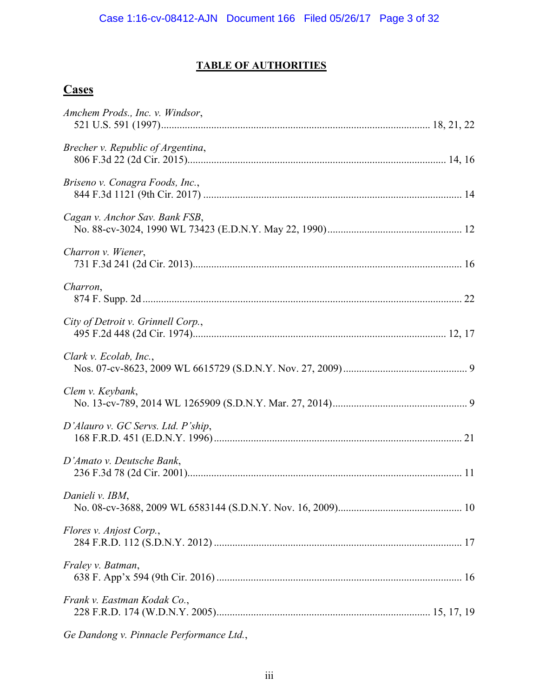# **TABLE OF AUTHORITIES**

# **Cases**

| Amchem Prods., Inc. v. Windsor,          |  |
|------------------------------------------|--|
| Brecher v. Republic of Argentina,        |  |
| Briseno v. Conagra Foods, Inc.,          |  |
| Cagan v. Anchor Sav. Bank FSB,           |  |
| Charron v. Wiener,                       |  |
| Charron,                                 |  |
| City of Detroit v. Grinnell Corp.,       |  |
| Clark v. Ecolab, Inc.,                   |  |
| Clem v. Keybank,                         |  |
| D'Alauro v. GC Servs. Ltd. P'ship,       |  |
| D'Amato v. Deutsche Bank,                |  |
| Danieli v. IBM,                          |  |
| Flores v. Anjost Corp.,                  |  |
| Fraley v. Batman,                        |  |
| Frank v. Eastman Kodak Co.,              |  |
| Ge Dandong v. Pinnacle Performance Ltd., |  |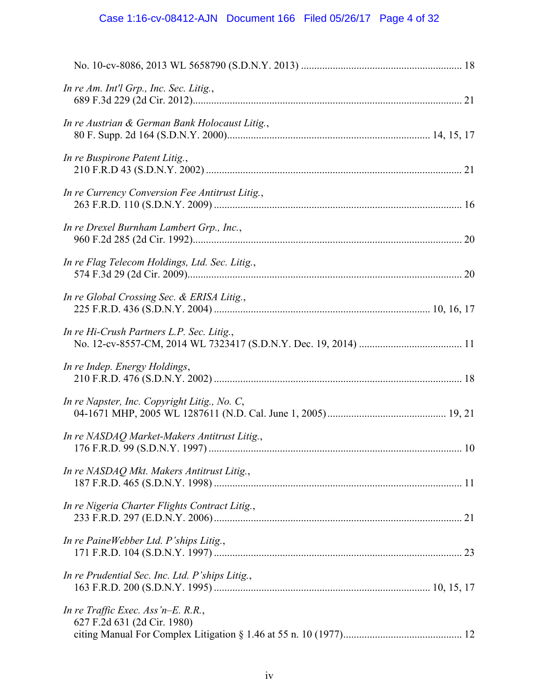| In re Am. Int'l Grp., Inc. Sec. Litig.,                           |  |
|-------------------------------------------------------------------|--|
| In re Austrian & German Bank Holocaust Litig.,                    |  |
| In re Buspirone Patent Litig.,                                    |  |
| In re Currency Conversion Fee Antitrust Litig.,                   |  |
| In re Drexel Burnham Lambert Grp., Inc.,                          |  |
| In re Flag Telecom Holdings, Ltd. Sec. Litig.,                    |  |
| In re Global Crossing Sec. & ERISA Litig.,                        |  |
| In re Hi-Crush Partners L.P. Sec. Litig.,                         |  |
| In re Indep. Energy Holdings,                                     |  |
| In re Napster, Inc. Copyright Litig., No. C,                      |  |
| In re NASDAQ Market-Makers Antitrust Litig.,                      |  |
| In re NASDAQ Mkt. Makers Antitrust Litig.,                        |  |
| In re Nigeria Charter Flights Contract Litig.,                    |  |
| In re PaineWebber Ltd. P'ships Litig.,                            |  |
| In re Prudential Sec. Inc. Ltd. P'ships Litig.,                   |  |
| In re Traffic Exec. Ass'n–E. R.R.,<br>627 F.2d 631 (2d Cir. 1980) |  |
|                                                                   |  |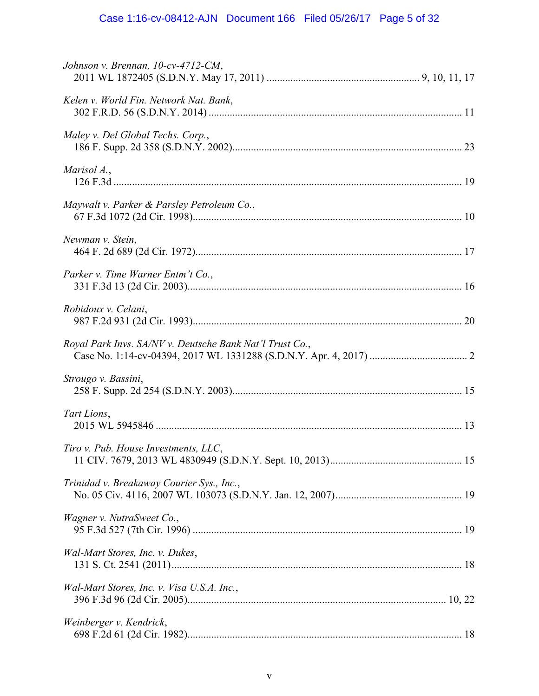| Johnson v. Brennan, 10-cv-4712-CM,                       |
|----------------------------------------------------------|
| Kelen v. World Fin. Network Nat. Bank,                   |
| Maley v. Del Global Techs. Corp.,                        |
| Marisol $A_{\cdot}$ ,                                    |
| Maywalt v. Parker & Parsley Petroleum Co.,               |
| Newman v. Stein,                                         |
| Parker v. Time Warner Entm't Co.,                        |
| Robidoux v. Celani,                                      |
| Royal Park Invs. SA/NV v. Deutsche Bank Nat'l Trust Co., |
| Strougo v. Bassini,                                      |
| Tart Lions,                                              |
| Tiro v. Pub. House Investments, LLC,                     |
| Trinidad v. Breakaway Courier Sys., Inc.,                |
| Wagner v. NutraSweet Co.,                                |
| Wal-Mart Stores, Inc. v. Dukes,                          |
| Wal-Mart Stores, Inc. v. Visa U.S.A. Inc.,               |
| Weinberger v. Kendrick,                                  |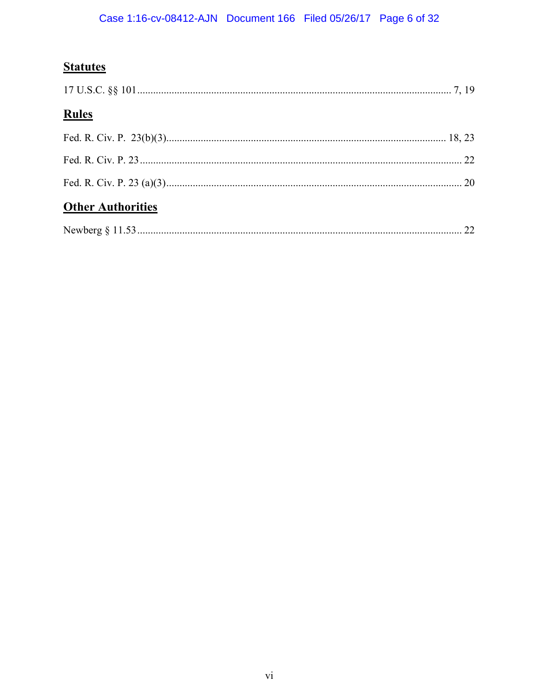# **Statutes**

| <b>Rules</b>             |  |
|--------------------------|--|
|                          |  |
|                          |  |
|                          |  |
| <b>Other Authorities</b> |  |
|                          |  |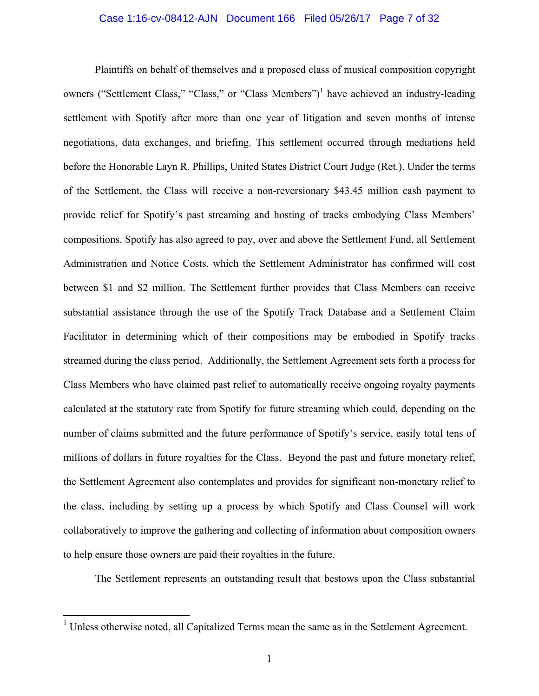#### Case 1:16-cv-08412-AJN Document 166 Filed 05/26/17 Page 7 of 32

Plaintiffs on behalf of themselves and a proposed class of musical composition copyright owners ("Settlement Class," "Class," or "Class Members")<sup>1</sup> have achieved an industry-leading settlement with Spotify after more than one year of litigation and seven months of intense negotiations, data exchanges, and briefing. This settlement occurred through mediations held before the Honorable Layn R. Phillips, United States District Court Judge (Ret.). Under the terms of the Settlement, the Class will receive a non-reversionary \$43.45 million cash payment to provide relief for Spotify's past streaming and hosting of tracks embodying Class Members' compositions. Spotify has also agreed to pay, over and above the Settlement Fund, all Settlement Administration and Notice Costs, which the Settlement Administrator has confirmed will cost between \$1 and \$2 million. The Settlement further provides that Class Members can receive substantial assistance through the use of the Spotify Track Database and a Settlement Claim Facilitator in determining which of their compositions may be embodied in Spotify tracks streamed during the class period. Additionally, the Settlement Agreement sets forth a process for Class Members who have claimed past relief to automatically receive ongoing royalty payments calculated at the statutory rate from Spotify for future streaming which could, depending on the number of claims submitted and the future performance of Spotify's service, easily total tens of millions of dollars in future royalties for the Class. Beyond the past and future monetary relief, the Settlement Agreement also contemplates and provides for significant non-monetary relief to the class, including by setting up a process by which Spotify and Class Counsel will work collaboratively to improve the gathering and collecting of information about composition owners to help ensure those owners are paid their royalties in the future.

The Settlement represents an outstanding result that bestows upon the Class substantial

 $\overline{a}$ 

<sup>&</sup>lt;sup>1</sup> Unless otherwise noted, all Capitalized Terms mean the same as in the Settlement Agreement.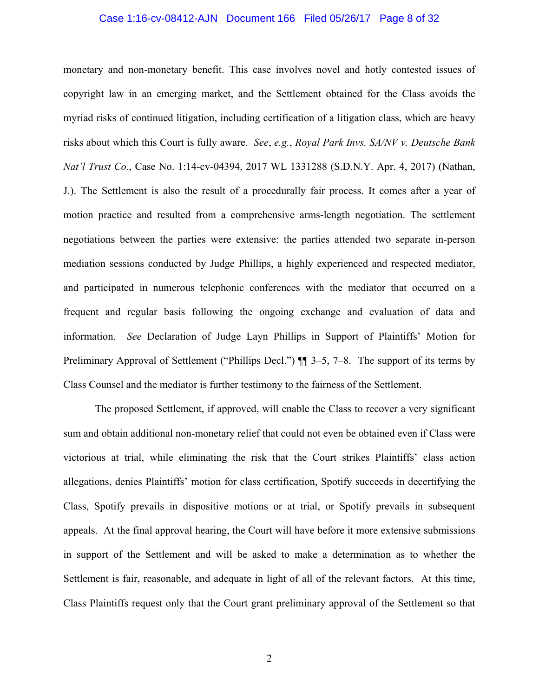#### Case 1:16-cv-08412-AJN Document 166 Filed 05/26/17 Page 8 of 32

monetary and non-monetary benefit. This case involves novel and hotly contested issues of copyright law in an emerging market, and the Settlement obtained for the Class avoids the myriad risks of continued litigation, including certification of a litigation class, which are heavy risks about which this Court is fully aware. *See*, *e.g.*, *Royal Park Invs. SA/NV v. Deutsche Bank Nat'l Trust Co.*, Case No. 1:14-cv-04394, 2017 WL 1331288 (S.D.N.Y. Apr. 4, 2017) (Nathan, J.). The Settlement is also the result of a procedurally fair process. It comes after a year of motion practice and resulted from a comprehensive arms-length negotiation. The settlement negotiations between the parties were extensive: the parties attended two separate in-person mediation sessions conducted by Judge Phillips, a highly experienced and respected mediator, and participated in numerous telephonic conferences with the mediator that occurred on a frequent and regular basis following the ongoing exchange and evaluation of data and information. *See* Declaration of Judge Layn Phillips in Support of Plaintiffs' Motion for Preliminary Approval of Settlement ("Phillips Decl.") ¶¶ 3–5, 7–8. The support of its terms by Class Counsel and the mediator is further testimony to the fairness of the Settlement.

The proposed Settlement, if approved, will enable the Class to recover a very significant sum and obtain additional non-monetary relief that could not even be obtained even if Class were victorious at trial, while eliminating the risk that the Court strikes Plaintiffs' class action allegations, denies Plaintiffs' motion for class certification, Spotify succeeds in decertifying the Class, Spotify prevails in dispositive motions or at trial, or Spotify prevails in subsequent appeals. At the final approval hearing, the Court will have before it more extensive submissions in support of the Settlement and will be asked to make a determination as to whether the Settlement is fair, reasonable, and adequate in light of all of the relevant factors. At this time, Class Plaintiffs request only that the Court grant preliminary approval of the Settlement so that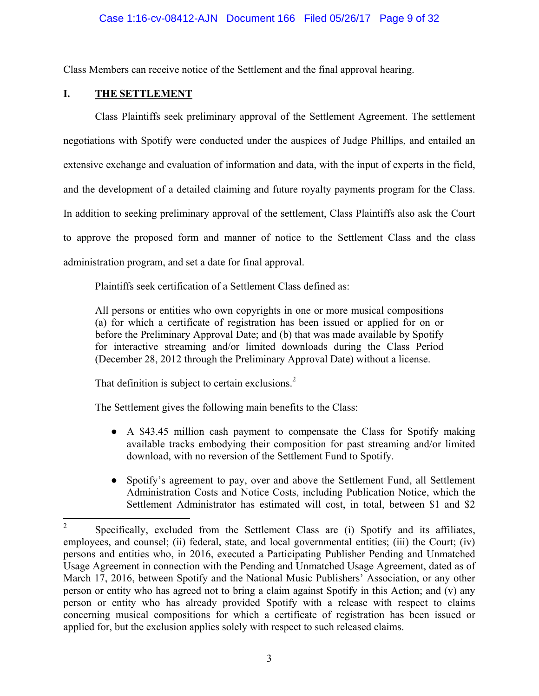Class Members can receive notice of the Settlement and the final approval hearing.

# **I. THE SETTLEMENT**

Class Plaintiffs seek preliminary approval of the Settlement Agreement. The settlement negotiations with Spotify were conducted under the auspices of Judge Phillips, and entailed an extensive exchange and evaluation of information and data, with the input of experts in the field, and the development of a detailed claiming and future royalty payments program for the Class. In addition to seeking preliminary approval of the settlement, Class Plaintiffs also ask the Court to approve the proposed form and manner of notice to the Settlement Class and the class administration program, and set a date for final approval.

Plaintiffs seek certification of a Settlement Class defined as:

All persons or entities who own copyrights in one or more musical compositions (a) for which a certificate of registration has been issued or applied for on or before the Preliminary Approval Date; and (b) that was made available by Spotify for interactive streaming and/or limited downloads during the Class Period (December 28, 2012 through the Preliminary Approval Date) without a license.

That definition is subject to certain exclusions.<sup>2</sup>

The Settlement gives the following main benefits to the Class:

- A \$43.45 million cash payment to compensate the Class for Spotify making available tracks embodying their composition for past streaming and/or limited download, with no reversion of the Settlement Fund to Spotify.
- Spotify's agreement to pay, over and above the Settlement Fund, all Settlement Administration Costs and Notice Costs, including Publication Notice, which the Settlement Administrator has estimated will cost, in total, between \$1 and \$2

 $\frac{1}{2}$  Specifically, excluded from the Settlement Class are (i) Spotify and its affiliates, employees, and counsel; (ii) federal, state, and local governmental entities; (iii) the Court; (iv) persons and entities who, in 2016, executed a Participating Publisher Pending and Unmatched Usage Agreement in connection with the Pending and Unmatched Usage Agreement, dated as of March 17, 2016, between Spotify and the National Music Publishers' Association, or any other person or entity who has agreed not to bring a claim against Spotify in this Action; and (v) any person or entity who has already provided Spotify with a release with respect to claims concerning musical compositions for which a certificate of registration has been issued or applied for, but the exclusion applies solely with respect to such released claims.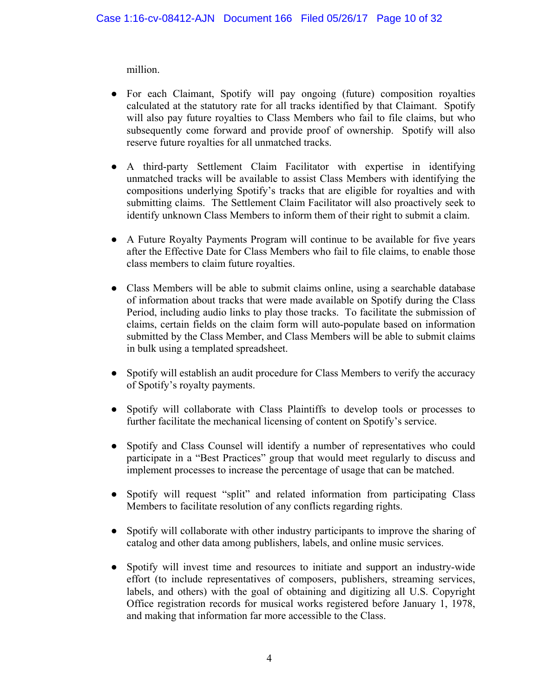million.

- For each Claimant, Spotify will pay ongoing (future) composition royalties calculated at the statutory rate for all tracks identified by that Claimant. Spotify will also pay future royalties to Class Members who fail to file claims, but who subsequently come forward and provide proof of ownership. Spotify will also reserve future royalties for all unmatched tracks.
- A third-party Settlement Claim Facilitator with expertise in identifying unmatched tracks will be available to assist Class Members with identifying the compositions underlying Spotify's tracks that are eligible for royalties and with submitting claims. The Settlement Claim Facilitator will also proactively seek to identify unknown Class Members to inform them of their right to submit a claim.
- A Future Royalty Payments Program will continue to be available for five years after the Effective Date for Class Members who fail to file claims, to enable those class members to claim future royalties.
- Class Members will be able to submit claims online, using a searchable database of information about tracks that were made available on Spotify during the Class Period, including audio links to play those tracks. To facilitate the submission of claims, certain fields on the claim form will auto-populate based on information submitted by the Class Member, and Class Members will be able to submit claims in bulk using a templated spreadsheet.
- Spotify will establish an audit procedure for Class Members to verify the accuracy of Spotify's royalty payments.
- Spotify will collaborate with Class Plaintiffs to develop tools or processes to further facilitate the mechanical licensing of content on Spotify's service.
- Spotify and Class Counsel will identify a number of representatives who could participate in a "Best Practices" group that would meet regularly to discuss and implement processes to increase the percentage of usage that can be matched.
- Spotify will request "split" and related information from participating Class Members to facilitate resolution of any conflicts regarding rights.
- Spotify will collaborate with other industry participants to improve the sharing of catalog and other data among publishers, labels, and online music services.
- Spotify will invest time and resources to initiate and support an industry-wide effort (to include representatives of composers, publishers, streaming services, labels, and others) with the goal of obtaining and digitizing all U.S. Copyright Office registration records for musical works registered before January 1, 1978, and making that information far more accessible to the Class.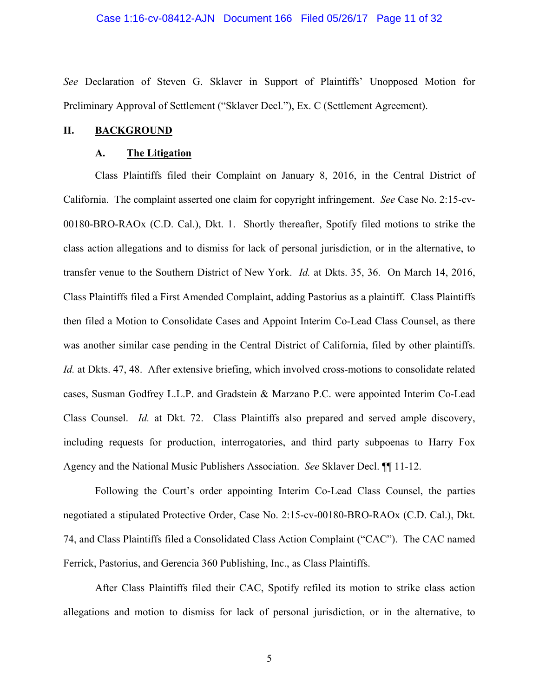#### Case 1:16-cv-08412-AJN Document 166 Filed 05/26/17 Page 11 of 32

*See* Declaration of Steven G. Sklaver in Support of Plaintiffs' Unopposed Motion for Preliminary Approval of Settlement ("Sklaver Decl."), Ex. C (Settlement Agreement).

# **II. BACKGROUND**

#### **A. The Litigation**

Class Plaintiffs filed their Complaint on January 8, 2016, in the Central District of California. The complaint asserted one claim for copyright infringement. *See* Case No. 2:15-cv-00180-BRO-RAOx (C.D. Cal.), Dkt. 1. Shortly thereafter, Spotify filed motions to strike the class action allegations and to dismiss for lack of personal jurisdiction, or in the alternative, to transfer venue to the Southern District of New York. *Id.* at Dkts. 35, 36. On March 14, 2016, Class Plaintiffs filed a First Amended Complaint, adding Pastorius as a plaintiff. Class Plaintiffs then filed a Motion to Consolidate Cases and Appoint Interim Co-Lead Class Counsel, as there was another similar case pending in the Central District of California, filed by other plaintiffs. *Id.* at Dkts. 47, 48. After extensive briefing, which involved cross-motions to consolidate related cases, Susman Godfrey L.L.P. and Gradstein & Marzano P.C. were appointed Interim Co-Lead Class Counsel. *Id.* at Dkt. 72. Class Plaintiffs also prepared and served ample discovery, including requests for production, interrogatories, and third party subpoenas to Harry Fox Agency and the National Music Publishers Association. *See* Sklaver Decl. ¶¶ 11-12.

Following the Court's order appointing Interim Co-Lead Class Counsel, the parties negotiated a stipulated Protective Order, Case No. 2:15-cv-00180-BRO-RAOx (C.D. Cal.), Dkt. 74, and Class Plaintiffs filed a Consolidated Class Action Complaint ("CAC"). The CAC named Ferrick, Pastorius, and Gerencia 360 Publishing, Inc., as Class Plaintiffs.

After Class Plaintiffs filed their CAC, Spotify refiled its motion to strike class action allegations and motion to dismiss for lack of personal jurisdiction, or in the alternative, to

5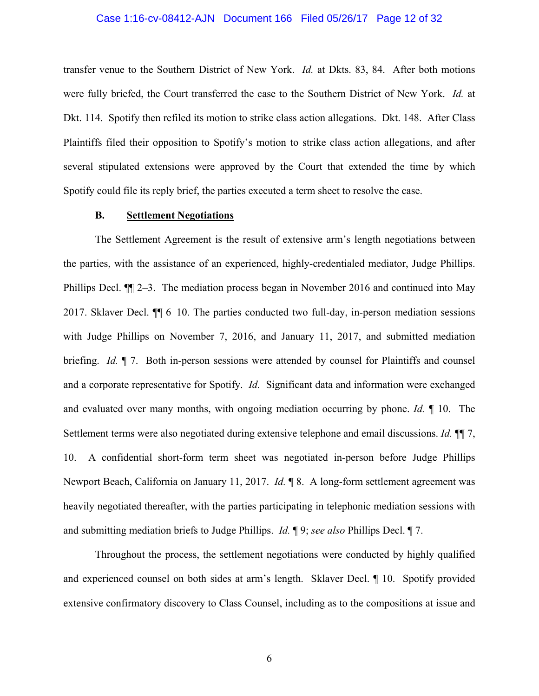#### Case 1:16-cv-08412-AJN Document 166 Filed 05/26/17 Page 12 of 32

transfer venue to the Southern District of New York. *Id.* at Dkts. 83, 84. After both motions were fully briefed, the Court transferred the case to the Southern District of New York. *Id.* at Dkt. 114. Spotify then refiled its motion to strike class action allegations. Dkt. 148. After Class Plaintiffs filed their opposition to Spotify's motion to strike class action allegations, and after several stipulated extensions were approved by the Court that extended the time by which Spotify could file its reply brief, the parties executed a term sheet to resolve the case.

#### **B. Settlement Negotiations**

 The Settlement Agreement is the result of extensive arm's length negotiations between the parties, with the assistance of an experienced, highly-credentialed mediator, Judge Phillips. Phillips Decl. ¶¶ 2–3. The mediation process began in November 2016 and continued into May 2017. Sklaver Decl. ¶¶ 6–10. The parties conducted two full-day, in-person mediation sessions with Judge Phillips on November 7, 2016, and January 11, 2017, and submitted mediation briefing. *Id.* ¶ 7. Both in-person sessions were attended by counsel for Plaintiffs and counsel and a corporate representative for Spotify. *Id.* Significant data and information were exchanged and evaluated over many months, with ongoing mediation occurring by phone. *Id.* ¶ 10. The Settlement terms were also negotiated during extensive telephone and email discussions. *Id.* ¶¶ 7, 10. A confidential short-form term sheet was negotiated in-person before Judge Phillips Newport Beach, California on January 11, 2017. *Id.* ¶ 8. A long-form settlement agreement was heavily negotiated thereafter, with the parties participating in telephonic mediation sessions with and submitting mediation briefs to Judge Phillips. *Id.* ¶ 9; *see also* Phillips Decl. ¶ 7.

 Throughout the process, the settlement negotiations were conducted by highly qualified and experienced counsel on both sides at arm's length. Sklaver Decl. ¶ 10. Spotify provided extensive confirmatory discovery to Class Counsel, including as to the compositions at issue and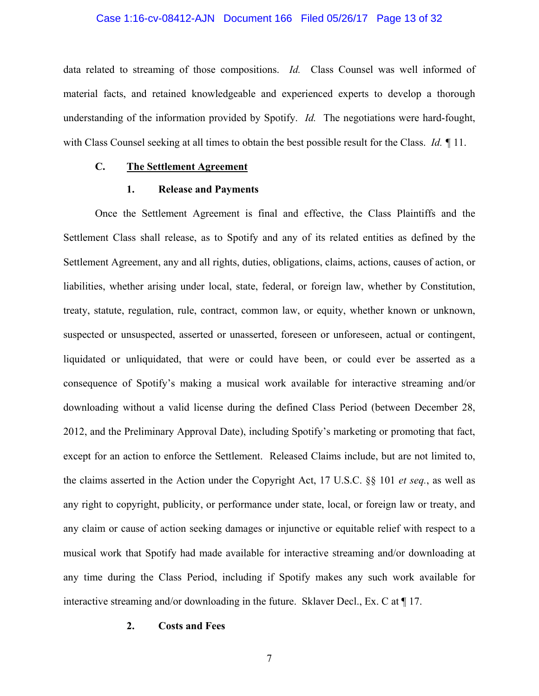#### Case 1:16-cv-08412-AJN Document 166 Filed 05/26/17 Page 13 of 32

data related to streaming of those compositions. *Id.* Class Counsel was well informed of material facts, and retained knowledgeable and experienced experts to develop a thorough understanding of the information provided by Spotify. *Id.* The negotiations were hard-fought, with Class Counsel seeking at all times to obtain the best possible result for the Class. *Id. ¶* 11.

# **C. The Settlement Agreement**

#### **1. Release and Payments**

Once the Settlement Agreement is final and effective, the Class Plaintiffs and the Settlement Class shall release, as to Spotify and any of its related entities as defined by the Settlement Agreement, any and all rights, duties, obligations, claims, actions, causes of action, or liabilities, whether arising under local, state, federal, or foreign law, whether by Constitution, treaty, statute, regulation, rule, contract, common law, or equity, whether known or unknown, suspected or unsuspected, asserted or unasserted, foreseen or unforeseen, actual or contingent, liquidated or unliquidated, that were or could have been, or could ever be asserted as a consequence of Spotify's making a musical work available for interactive streaming and/or downloading without a valid license during the defined Class Period (between December 28, 2012, and the Preliminary Approval Date), including Spotify's marketing or promoting that fact, except for an action to enforce the Settlement. Released Claims include, but are not limited to, the claims asserted in the Action under the Copyright Act, 17 U.S.C. §§ 101 *et seq.*, as well as any right to copyright, publicity, or performance under state, local, or foreign law or treaty, and any claim or cause of action seeking damages or injunctive or equitable relief with respect to a musical work that Spotify had made available for interactive streaming and/or downloading at any time during the Class Period, including if Spotify makes any such work available for interactive streaming and/or downloading in the future. Sklaver Decl., Ex. C at  $\P$  17.

## **2. Costs and Fees**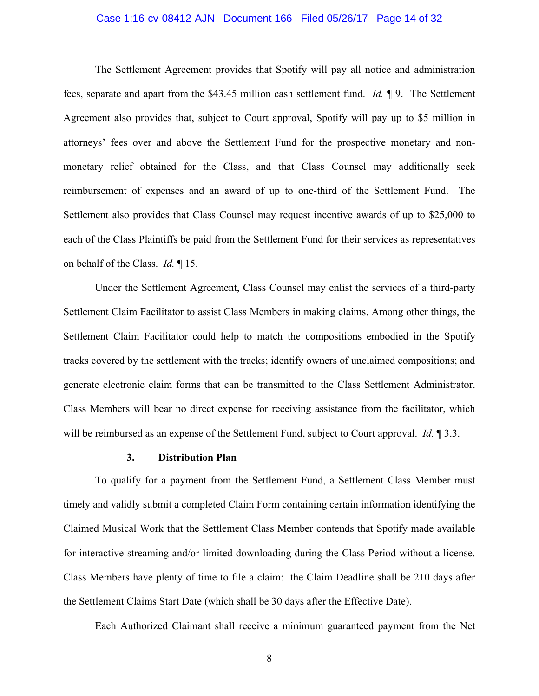#### Case 1:16-cv-08412-AJN Document 166 Filed 05/26/17 Page 14 of 32

The Settlement Agreement provides that Spotify will pay all notice and administration fees, separate and apart from the \$43.45 million cash settlement fund. *Id.* ¶ 9. The Settlement Agreement also provides that, subject to Court approval, Spotify will pay up to \$5 million in attorneys' fees over and above the Settlement Fund for the prospective monetary and nonmonetary relief obtained for the Class, and that Class Counsel may additionally seek reimbursement of expenses and an award of up to one-third of the Settlement Fund. The Settlement also provides that Class Counsel may request incentive awards of up to \$25,000 to each of the Class Plaintiffs be paid from the Settlement Fund for their services as representatives on behalf of the Class. *Id.* ¶ 15.

Under the Settlement Agreement, Class Counsel may enlist the services of a third-party Settlement Claim Facilitator to assist Class Members in making claims. Among other things, the Settlement Claim Facilitator could help to match the compositions embodied in the Spotify tracks covered by the settlement with the tracks; identify owners of unclaimed compositions; and generate electronic claim forms that can be transmitted to the Class Settlement Administrator. Class Members will bear no direct expense for receiving assistance from the facilitator, which will be reimbursed as an expense of the Settlement Fund, subject to Court approval. *Id.* ¶ 3.3.

#### **3. Distribution Plan**

To qualify for a payment from the Settlement Fund, a Settlement Class Member must timely and validly submit a completed Claim Form containing certain information identifying the Claimed Musical Work that the Settlement Class Member contends that Spotify made available for interactive streaming and/or limited downloading during the Class Period without a license. Class Members have plenty of time to file a claim: the Claim Deadline shall be 210 days after the Settlement Claims Start Date (which shall be 30 days after the Effective Date).

Each Authorized Claimant shall receive a minimum guaranteed payment from the Net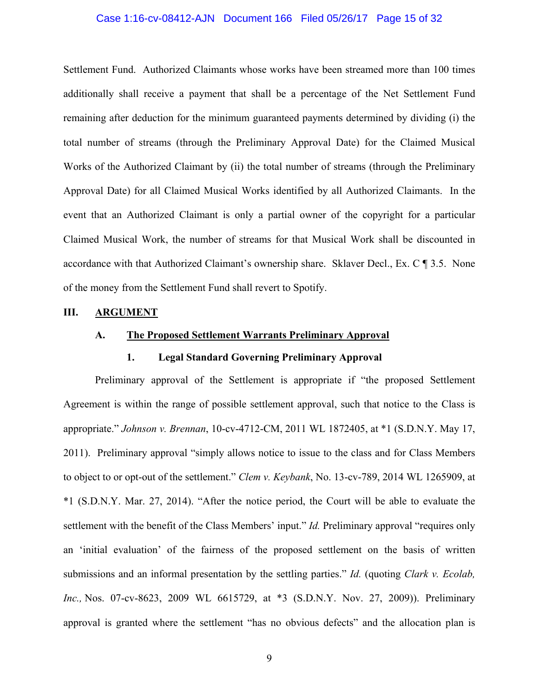#### Case 1:16-cv-08412-AJN Document 166 Filed 05/26/17 Page 15 of 32

Settlement Fund. Authorized Claimants whose works have been streamed more than 100 times additionally shall receive a payment that shall be a percentage of the Net Settlement Fund remaining after deduction for the minimum guaranteed payments determined by dividing (i) the total number of streams (through the Preliminary Approval Date) for the Claimed Musical Works of the Authorized Claimant by (ii) the total number of streams (through the Preliminary Approval Date) for all Claimed Musical Works identified by all Authorized Claimants. In the event that an Authorized Claimant is only a partial owner of the copyright for a particular Claimed Musical Work, the number of streams for that Musical Work shall be discounted in accordance with that Authorized Claimant's ownership share. Sklaver Decl., Ex. C ¶ 3.5. None of the money from the Settlement Fund shall revert to Spotify.

#### **III. ARGUMENT**

# **A. The Proposed Settlement Warrants Preliminary Approval**

## **1. Legal Standard Governing Preliminary Approval**

Preliminary approval of the Settlement is appropriate if "the proposed Settlement Agreement is within the range of possible settlement approval, such that notice to the Class is appropriate." *Johnson v. Brennan*, 10-cv-4712-CM, 2011 WL 1872405, at \*1 (S.D.N.Y. May 17, 2011). Preliminary approval "simply allows notice to issue to the class and for Class Members to object to or opt-out of the settlement." *Clem v. Keybank*, No. 13-cv-789, 2014 WL 1265909, at \*1 (S.D.N.Y. Mar. 27, 2014). "After the notice period, the Court will be able to evaluate the settlement with the benefit of the Class Members' input." *Id.* Preliminary approval "requires only an 'initial evaluation' of the fairness of the proposed settlement on the basis of written submissions and an informal presentation by the settling parties." *Id.* (quoting *Clark v. Ecolab, Inc.,* Nos. 07-cv-8623, 2009 WL 6615729, at \*3 (S.D.N.Y. Nov. 27, 2009)). Preliminary approval is granted where the settlement "has no obvious defects" and the allocation plan is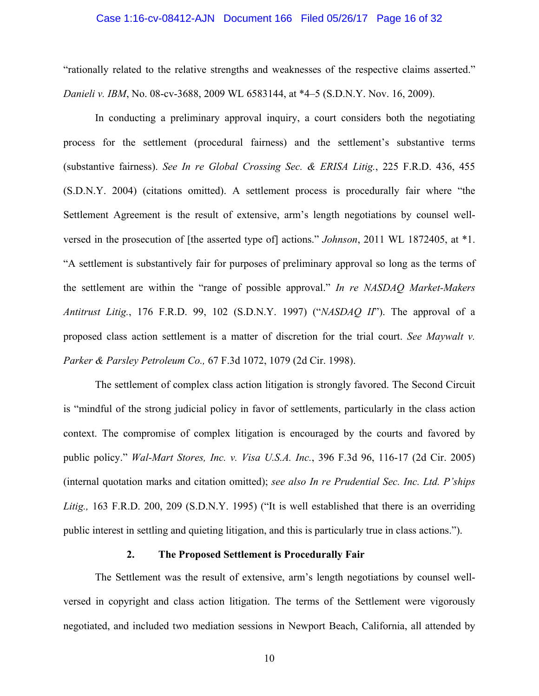#### Case 1:16-cv-08412-AJN Document 166 Filed 05/26/17 Page 16 of 32

"rationally related to the relative strengths and weaknesses of the respective claims asserted." *Danieli v. IBM*, No. 08-cv-3688, 2009 WL 6583144, at \*4–5 (S.D.N.Y. Nov. 16, 2009).

In conducting a preliminary approval inquiry, a court considers both the negotiating process for the settlement (procedural fairness) and the settlement's substantive terms (substantive fairness). *See In re Global Crossing Sec. & ERISA Litig.*, 225 F.R.D. 436, 455 (S.D.N.Y. 2004) (citations omitted). A settlement process is procedurally fair where "the Settlement Agreement is the result of extensive, arm's length negotiations by counsel wellversed in the prosecution of [the asserted type of] actions." *Johnson*, 2011 WL 1872405, at \*1. "A settlement is substantively fair for purposes of preliminary approval so long as the terms of the settlement are within the "range of possible approval." *In re NASDAQ Market-Makers Antitrust Litig.*, 176 F.R.D. 99, 102 (S.D.N.Y. 1997) ("*NASDAQ II*"). The approval of a proposed class action settlement is a matter of discretion for the trial court. *See Maywalt v. Parker & Parsley Petroleum Co.,* 67 F.3d 1072, 1079 (2d Cir. 1998).

The settlement of complex class action litigation is strongly favored. The Second Circuit is "mindful of the strong judicial policy in favor of settlements, particularly in the class action context. The compromise of complex litigation is encouraged by the courts and favored by public policy." *Wal-Mart Stores, Inc. v. Visa U.S.A. Inc.*, 396 F.3d 96, 116-17 (2d Cir. 2005) (internal quotation marks and citation omitted); *see also In re Prudential Sec. Inc. Ltd. P'ships Litig.,* 163 F.R.D. 200, 209 (S.D.N.Y. 1995) ("It is well established that there is an overriding public interest in settling and quieting litigation, and this is particularly true in class actions.").

### **2. The Proposed Settlement is Procedurally Fair**

The Settlement was the result of extensive, arm's length negotiations by counsel wellversed in copyright and class action litigation. The terms of the Settlement were vigorously negotiated, and included two mediation sessions in Newport Beach, California, all attended by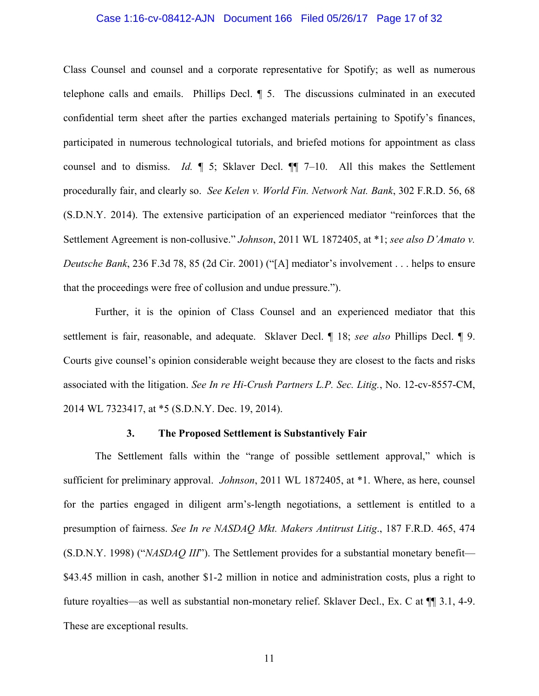#### Case 1:16-cv-08412-AJN Document 166 Filed 05/26/17 Page 17 of 32

Class Counsel and counsel and a corporate representative for Spotify; as well as numerous telephone calls and emails. Phillips Decl. ¶ 5. The discussions culminated in an executed confidential term sheet after the parties exchanged materials pertaining to Spotify's finances, participated in numerous technological tutorials, and briefed motions for appointment as class counsel and to dismiss. *Id.* ¶ 5; Sklaver Decl. ¶¶ 7–10. All this makes the Settlement procedurally fair, and clearly so. *See Kelen v. World Fin. Network Nat. Bank*, 302 F.R.D. 56, 68 (S.D.N.Y. 2014). The extensive participation of an experienced mediator "reinforces that the Settlement Agreement is non-collusive." *Johnson*, 2011 WL 1872405, at \*1; *see also D'Amato v. Deutsche Bank*, 236 F.3d 78, 85 (2d Cir. 2001) ("[A] mediator's involvement . . . helps to ensure that the proceedings were free of collusion and undue pressure.").

Further, it is the opinion of Class Counsel and an experienced mediator that this settlement is fair, reasonable, and adequate. Sklaver Decl. ¶ 18; *see also* Phillips Decl. ¶ 9. Courts give counsel's opinion considerable weight because they are closest to the facts and risks associated with the litigation. *See In re Hi-Crush Partners L.P. Sec. Litig.*, No. 12-cv-8557-CM, 2014 WL 7323417, at \*5 (S.D.N.Y. Dec. 19, 2014).

## **3. The Proposed Settlement is Substantively Fair**

The Settlement falls within the "range of possible settlement approval," which is sufficient for preliminary approval. *Johnson*, 2011 WL 1872405, at \*1. Where, as here, counsel for the parties engaged in diligent arm's-length negotiations, a settlement is entitled to a presumption of fairness. *See In re NASDAQ Mkt. Makers Antitrust Litig*., 187 F.R.D. 465, 474 (S.D.N.Y. 1998) ("*NASDAQ III*"). The Settlement provides for a substantial monetary benefit— \$43.45 million in cash, another \$1-2 million in notice and administration costs, plus a right to future royalties—as well as substantial non-monetary relief. Sklaver Decl., Ex. C at ¶¶ 3.1, 4-9. These are exceptional results.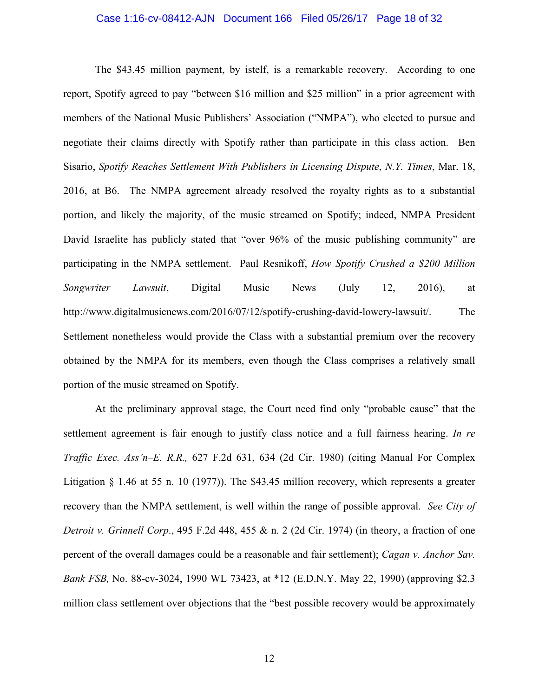#### Case 1:16-cv-08412-AJN Document 166 Filed 05/26/17 Page 18 of 32

The \$43.45 million payment, by istelf, is a remarkable recovery. According to one report, Spotify agreed to pay "between \$16 million and \$25 million" in a prior agreement with members of the National Music Publishers' Association ("NMPA"), who elected to pursue and negotiate their claims directly with Spotify rather than participate in this class action. Ben Sisario, *Spotify Reaches Settlement With Publishers in Licensing Dispute*, *N.Y. Times*, Mar. 18, 2016, at B6. The NMPA agreement already resolved the royalty rights as to a substantial portion, and likely the majority, of the music streamed on Spotify; indeed, NMPA President David Israelite has publicly stated that "over 96% of the music publishing community" are participating in the NMPA settlement. Paul Resnikoff, *How Spotify Crushed a \$200 Million Songwriter Lawsuit*, Digital Music News (July 12, 2016), at http://www.digitalmusicnews.com/2016/07/12/spotify-crushing-david-lowery-lawsuit/. The Settlement nonetheless would provide the Class with a substantial premium over the recovery obtained by the NMPA for its members, even though the Class comprises a relatively small portion of the music streamed on Spotify.

At the preliminary approval stage, the Court need find only "probable cause" that the settlement agreement is fair enough to justify class notice and a full fairness hearing. *In re Traffic Exec. Ass'n–E. R.R.,* 627 F.2d 631, 634 (2d Cir. 1980) (citing Manual For Complex Litigation § 1.46 at 55 n. 10 (1977)). The \$43.45 million recovery, which represents a greater recovery than the NMPA settlement, is well within the range of possible approval. *See City of Detroit v. Grinnell Corp*., 495 F.2d 448, 455 & n. 2 (2d Cir. 1974) (in theory, a fraction of one percent of the overall damages could be a reasonable and fair settlement); *Cagan v. Anchor Sav. Bank FSB,* No. 88-cv-3024, 1990 WL 73423, at \*12 (E.D.N.Y. May 22, 1990) (approving \$2.3 million class settlement over objections that the "best possible recovery would be approximately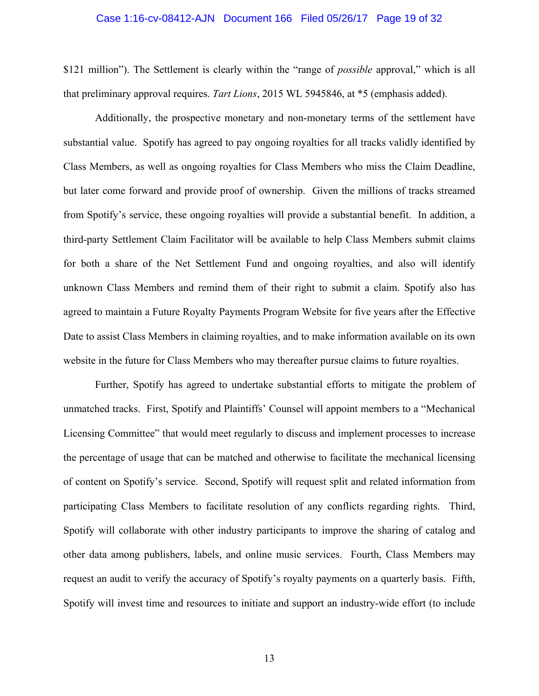#### Case 1:16-cv-08412-AJN Document 166 Filed 05/26/17 Page 19 of 32

\$121 million"). The Settlement is clearly within the "range of *possible* approval," which is all that preliminary approval requires. *Tart Lions*, 2015 WL 5945846, at \*5 (emphasis added).

Additionally, the prospective monetary and non-monetary terms of the settlement have substantial value. Spotify has agreed to pay ongoing royalties for all tracks validly identified by Class Members, as well as ongoing royalties for Class Members who miss the Claim Deadline, but later come forward and provide proof of ownership. Given the millions of tracks streamed from Spotify's service, these ongoing royalties will provide a substantial benefit. In addition, a third-party Settlement Claim Facilitator will be available to help Class Members submit claims for both a share of the Net Settlement Fund and ongoing royalties, and also will identify unknown Class Members and remind them of their right to submit a claim. Spotify also has agreed to maintain a Future Royalty Payments Program Website for five years after the Effective Date to assist Class Members in claiming royalties, and to make information available on its own website in the future for Class Members who may thereafter pursue claims to future royalties.

Further, Spotify has agreed to undertake substantial efforts to mitigate the problem of unmatched tracks. First, Spotify and Plaintiffs' Counsel will appoint members to a "Mechanical Licensing Committee" that would meet regularly to discuss and implement processes to increase the percentage of usage that can be matched and otherwise to facilitate the mechanical licensing of content on Spotify's service. Second, Spotify will request split and related information from participating Class Members to facilitate resolution of any conflicts regarding rights. Third, Spotify will collaborate with other industry participants to improve the sharing of catalog and other data among publishers, labels, and online music services. Fourth, Class Members may request an audit to verify the accuracy of Spotify's royalty payments on a quarterly basis. Fifth, Spotify will invest time and resources to initiate and support an industry-wide effort (to include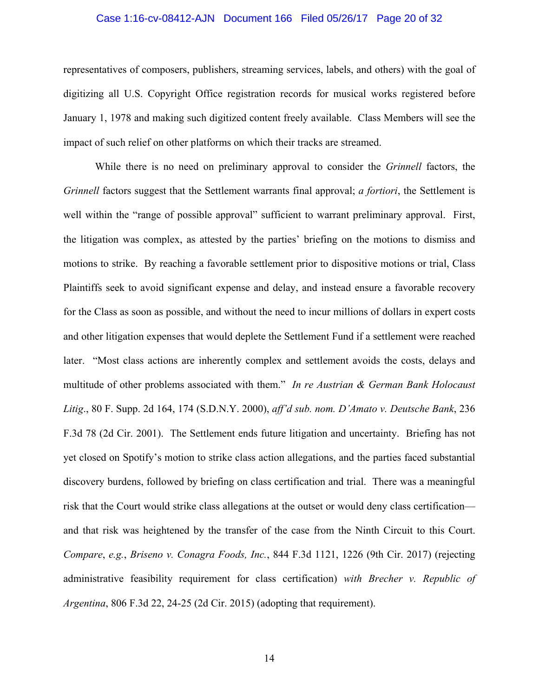#### Case 1:16-cv-08412-AJN Document 166 Filed 05/26/17 Page 20 of 32

representatives of composers, publishers, streaming services, labels, and others) with the goal of digitizing all U.S. Copyright Office registration records for musical works registered before January 1, 1978 and making such digitized content freely available. Class Members will see the impact of such relief on other platforms on which their tracks are streamed.

While there is no need on preliminary approval to consider the *Grinnell* factors, the *Grinnell* factors suggest that the Settlement warrants final approval; *a fortiori*, the Settlement is well within the "range of possible approval" sufficient to warrant preliminary approval. First, the litigation was complex, as attested by the parties' briefing on the motions to dismiss and motions to strike. By reaching a favorable settlement prior to dispositive motions or trial, Class Plaintiffs seek to avoid significant expense and delay, and instead ensure a favorable recovery for the Class as soon as possible, and without the need to incur millions of dollars in expert costs and other litigation expenses that would deplete the Settlement Fund if a settlement were reached later. "Most class actions are inherently complex and settlement avoids the costs, delays and multitude of other problems associated with them." *In re Austrian & German Bank Holocaust Litig*., 80 F. Supp. 2d 164, 174 (S.D.N.Y. 2000), *aff'd sub. nom. D'Amato v. Deutsche Bank*, 236 F.3d 78 (2d Cir. 2001). The Settlement ends future litigation and uncertainty. Briefing has not yet closed on Spotify's motion to strike class action allegations, and the parties faced substantial discovery burdens, followed by briefing on class certification and trial. There was a meaningful risk that the Court would strike class allegations at the outset or would deny class certification and that risk was heightened by the transfer of the case from the Ninth Circuit to this Court. *Compare*, *e.g.*, *Briseno v. Conagra Foods, Inc.*, 844 F.3d 1121, 1226 (9th Cir. 2017) (rejecting administrative feasibility requirement for class certification) *with Brecher v. Republic of Argentina*, 806 F.3d 22, 24-25 (2d Cir. 2015) (adopting that requirement).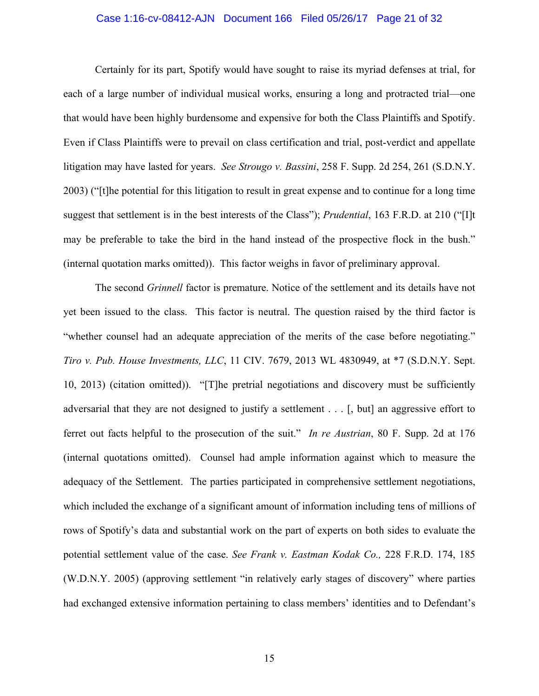#### Case 1:16-cv-08412-AJN Document 166 Filed 05/26/17 Page 21 of 32

Certainly for its part, Spotify would have sought to raise its myriad defenses at trial, for each of a large number of individual musical works, ensuring a long and protracted trial—one that would have been highly burdensome and expensive for both the Class Plaintiffs and Spotify. Even if Class Plaintiffs were to prevail on class certification and trial, post-verdict and appellate litigation may have lasted for years. *See Strougo v. Bassini*, 258 F. Supp. 2d 254, 261 (S.D.N.Y. 2003) ("[t]he potential for this litigation to result in great expense and to continue for a long time suggest that settlement is in the best interests of the Class"); *Prudential*, 163 F.R.D. at 210 ("[I]t may be preferable to take the bird in the hand instead of the prospective flock in the bush." (internal quotation marks omitted)). This factor weighs in favor of preliminary approval.

The second *Grinnell* factor is premature. Notice of the settlement and its details have not yet been issued to the class. This factor is neutral. The question raised by the third factor is "whether counsel had an adequate appreciation of the merits of the case before negotiating." *Tiro v. Pub. House Investments, LLC*, 11 CIV. 7679, 2013 WL 4830949, at \*7 (S.D.N.Y. Sept. 10, 2013) (citation omitted)). "[T]he pretrial negotiations and discovery must be sufficiently adversarial that they are not designed to justify a settlement . . . [, but] an aggressive effort to ferret out facts helpful to the prosecution of the suit." *In re Austrian*, 80 F. Supp. 2d at 176 (internal quotations omitted). Counsel had ample information against which to measure the adequacy of the Settlement. The parties participated in comprehensive settlement negotiations, which included the exchange of a significant amount of information including tens of millions of rows of Spotify's data and substantial work on the part of experts on both sides to evaluate the potential settlement value of the case. *See Frank v. Eastman Kodak Co.,* 228 F.R.D. 174, 185 (W.D.N.Y. 2005) (approving settlement "in relatively early stages of discovery" where parties had exchanged extensive information pertaining to class members' identities and to Defendant's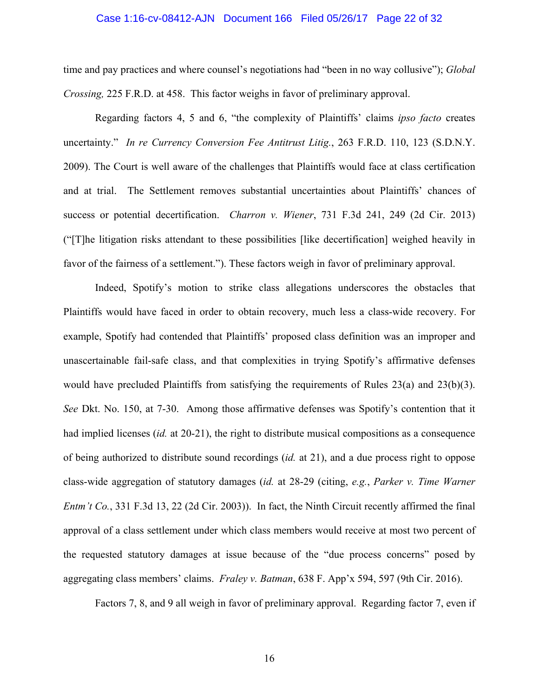#### Case 1:16-cv-08412-AJN Document 166 Filed 05/26/17 Page 22 of 32

time and pay practices and where counsel's negotiations had "been in no way collusive"); *Global Crossing,* 225 F.R.D. at 458. This factor weighs in favor of preliminary approval.

Regarding factors 4, 5 and 6, "the complexity of Plaintiffs' claims *ipso facto* creates uncertainty." *In re Currency Conversion Fee Antitrust Litig.*, 263 F.R.D. 110, 123 (S.D.N.Y. 2009). The Court is well aware of the challenges that Plaintiffs would face at class certification and at trial. The Settlement removes substantial uncertainties about Plaintiffs' chances of success or potential decertification. *Charron v. Wiener*, 731 F.3d 241, 249 (2d Cir. 2013) ("[T]he litigation risks attendant to these possibilities [like decertification] weighed heavily in favor of the fairness of a settlement."). These factors weigh in favor of preliminary approval.

Indeed, Spotify's motion to strike class allegations underscores the obstacles that Plaintiffs would have faced in order to obtain recovery, much less a class-wide recovery. For example, Spotify had contended that Plaintiffs' proposed class definition was an improper and unascertainable fail-safe class, and that complexities in trying Spotify's affirmative defenses would have precluded Plaintiffs from satisfying the requirements of Rules 23(a) and 23(b)(3). *See* Dkt. No. 150, at 7-30. Among those affirmative defenses was Spotify's contention that it had implied licenses (*id.* at 20-21), the right to distribute musical compositions as a consequence of being authorized to distribute sound recordings (*id.* at 21), and a due process right to oppose class-wide aggregation of statutory damages (*id.* at 28-29 (citing, *e.g.*, *Parker v. Time Warner Entm't Co.*, 331 F.3d 13, 22 (2d Cir. 2003)). In fact, the Ninth Circuit recently affirmed the final approval of a class settlement under which class members would receive at most two percent of the requested statutory damages at issue because of the "due process concerns" posed by aggregating class members' claims. *Fraley v. Batman*, 638 F. App'x 594, 597 (9th Cir. 2016).

Factors 7, 8, and 9 all weigh in favor of preliminary approval. Regarding factor 7, even if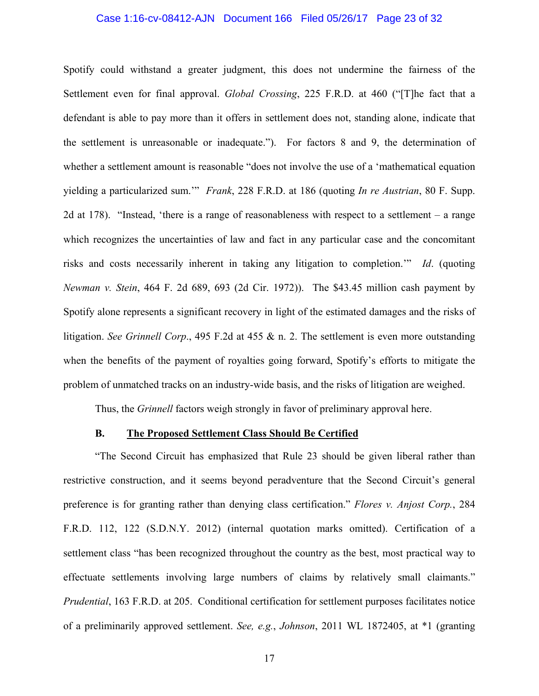#### Case 1:16-cv-08412-AJN Document 166 Filed 05/26/17 Page 23 of 32

Spotify could withstand a greater judgment, this does not undermine the fairness of the Settlement even for final approval. *Global Crossing*, 225 F.R.D. at 460 ("[T]he fact that a defendant is able to pay more than it offers in settlement does not, standing alone, indicate that the settlement is unreasonable or inadequate."). For factors 8 and 9, the determination of whether a settlement amount is reasonable "does not involve the use of a 'mathematical equation yielding a particularized sum.'" *Frank*, 228 F.R.D. at 186 (quoting *In re Austrian*, 80 F. Supp. 2d at 178). "Instead, 'there is a range of reasonableness with respect to a settlement – a range which recognizes the uncertainties of law and fact in any particular case and the concomitant risks and costs necessarily inherent in taking any litigation to completion.'" *Id*. (quoting *Newman v. Stein*, 464 F. 2d 689, 693 (2d Cir. 1972)). The \$43.45 million cash payment by Spotify alone represents a significant recovery in light of the estimated damages and the risks of litigation. *See Grinnell Corp*., 495 F.2d at 455 & n. 2. The settlement is even more outstanding when the benefits of the payment of royalties going forward, Spotify's efforts to mitigate the problem of unmatched tracks on an industry-wide basis, and the risks of litigation are weighed.

Thus, the *Grinnell* factors weigh strongly in favor of preliminary approval here.

## **B. The Proposed Settlement Class Should Be Certified**

"The Second Circuit has emphasized that Rule 23 should be given liberal rather than restrictive construction, and it seems beyond peradventure that the Second Circuit's general preference is for granting rather than denying class certification." *Flores v. Anjost Corp.*, 284 F.R.D. 112, 122 (S.D.N.Y. 2012) (internal quotation marks omitted). Certification of a settlement class "has been recognized throughout the country as the best, most practical way to effectuate settlements involving large numbers of claims by relatively small claimants." *Prudential*, 163 F.R.D. at 205. Conditional certification for settlement purposes facilitates notice of a preliminarily approved settlement. *See, e.g.*, *Johnson*, 2011 WL 1872405, at \*1 (granting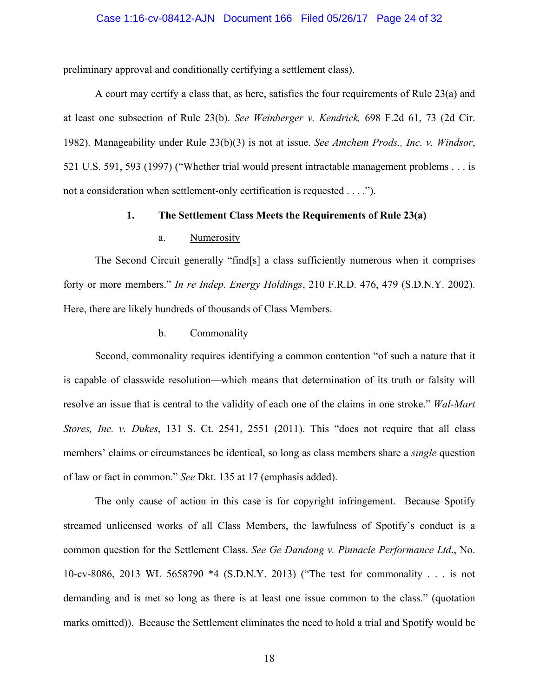# Case 1:16-cv-08412-AJN Document 166 Filed 05/26/17 Page 24 of 32

preliminary approval and conditionally certifying a settlement class).

A court may certify a class that, as here, satisfies the four requirements of Rule 23(a) and at least one subsection of Rule 23(b). *See Weinberger v. Kendrick,* 698 F.2d 61, 73 (2d Cir. 1982). Manageability under Rule 23(b)(3) is not at issue. *See Amchem Prods., Inc. v. Windsor*, 521 U.S. 591, 593 (1997) ("Whether trial would present intractable management problems . . . is not a consideration when settlement-only certification is requested . . . .").

#### **1. The Settlement Class Meets the Requirements of Rule 23(a)**

### a. Numerosity

The Second Circuit generally "find[s] a class sufficiently numerous when it comprises forty or more members." *In re Indep. Energy Holdings*, 210 F.R.D. 476, 479 (S.D.N.Y. 2002). Here, there are likely hundreds of thousands of Class Members.

# b. Commonality

Second, commonality requires identifying a common contention "of such a nature that it is capable of classwide resolution—which means that determination of its truth or falsity will resolve an issue that is central to the validity of each one of the claims in one stroke." *Wal-Mart Stores, Inc. v. Dukes*, 131 S. Ct. 2541, 2551 (2011). This "does not require that all class members' claims or circumstances be identical, so long as class members share a *single* question of law or fact in common." *See* Dkt. 135 at 17 (emphasis added).

The only cause of action in this case is for copyright infringement. Because Spotify streamed unlicensed works of all Class Members, the lawfulness of Spotify's conduct is a common question for the Settlement Class. *See Ge Dandong v. Pinnacle Performance Ltd*., No. 10-cv-8086, 2013 WL 5658790 \*4 (S.D.N.Y. 2013) ("The test for commonality . . . is not demanding and is met so long as there is at least one issue common to the class." (quotation marks omitted)). Because the Settlement eliminates the need to hold a trial and Spotify would be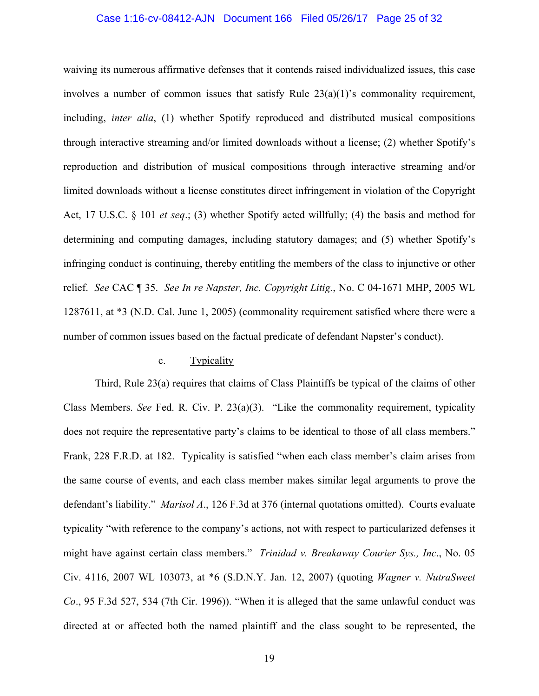#### Case 1:16-cv-08412-AJN Document 166 Filed 05/26/17 Page 25 of 32

waiving its numerous affirmative defenses that it contends raised individualized issues, this case involves a number of common issues that satisfy Rule 23(a)(1)'s commonality requirement, including, *inter alia*, (1) whether Spotify reproduced and distributed musical compositions through interactive streaming and/or limited downloads without a license; (2) whether Spotify's reproduction and distribution of musical compositions through interactive streaming and/or limited downloads without a license constitutes direct infringement in violation of the Copyright Act, 17 U.S.C. § 101 *et seq*.; (3) whether Spotify acted willfully; (4) the basis and method for determining and computing damages, including statutory damages; and (5) whether Spotify's infringing conduct is continuing, thereby entitling the members of the class to injunctive or other relief. *See* CAC ¶ 35. *See In re Napster, Inc. Copyright Litig.*, No. C 04-1671 MHP, 2005 WL 1287611, at \*3 (N.D. Cal. June 1, 2005) (commonality requirement satisfied where there were a number of common issues based on the factual predicate of defendant Napster's conduct).

#### c. Typicality

Third, Rule 23(a) requires that claims of Class Plaintiffs be typical of the claims of other Class Members. *See* Fed. R. Civ. P. 23(a)(3). "Like the commonality requirement, typicality does not require the representative party's claims to be identical to those of all class members." Frank, 228 F.R.D. at 182. Typicality is satisfied "when each class member's claim arises from the same course of events, and each class member makes similar legal arguments to prove the defendant's liability." *Marisol A*., 126 F.3d at 376 (internal quotations omitted). Courts evaluate typicality "with reference to the company's actions, not with respect to particularized defenses it might have against certain class members." *Trinidad v. Breakaway Courier Sys., Inc*., No. 05 Civ. 4116, 2007 WL 103073, at \*6 (S.D.N.Y. Jan. 12, 2007) (quoting *Wagner v. NutraSweet Co*., 95 F.3d 527, 534 (7th Cir. 1996)). "When it is alleged that the same unlawful conduct was directed at or affected both the named plaintiff and the class sought to be represented, the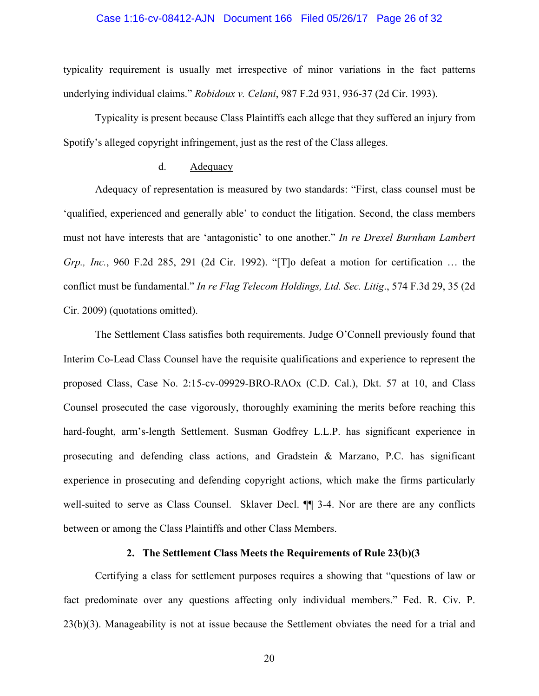#### Case 1:16-cv-08412-AJN Document 166 Filed 05/26/17 Page 26 of 32

typicality requirement is usually met irrespective of minor variations in the fact patterns underlying individual claims." *Robidoux v. Celani*, 987 F.2d 931, 936-37 (2d Cir. 1993).

Typicality is present because Class Plaintiffs each allege that they suffered an injury from Spotify's alleged copyright infringement, just as the rest of the Class alleges.

# d. Adequacy

Adequacy of representation is measured by two standards: "First, class counsel must be 'qualified, experienced and generally able' to conduct the litigation. Second, the class members must not have interests that are 'antagonistic' to one another." *In re Drexel Burnham Lambert Grp., Inc.*, 960 F.2d 285, 291 (2d Cir. 1992). "[T]o defeat a motion for certification … the conflict must be fundamental." *In re Flag Telecom Holdings, Ltd. Sec. Litig*., 574 F.3d 29, 35 (2d Cir. 2009) (quotations omitted).

The Settlement Class satisfies both requirements. Judge O'Connell previously found that Interim Co-Lead Class Counsel have the requisite qualifications and experience to represent the proposed Class, Case No. 2:15-cv-09929-BRO-RAOx (C.D. Cal.), Dkt. 57 at 10, and Class Counsel prosecuted the case vigorously, thoroughly examining the merits before reaching this hard-fought, arm's-length Settlement. Susman Godfrey L.L.P. has significant experience in prosecuting and defending class actions, and Gradstein & Marzano, P.C. has significant experience in prosecuting and defending copyright actions, which make the firms particularly well-suited to serve as Class Counsel. Sklaver Decl. ¶¶ 3-4. Nor are there are any conflicts between or among the Class Plaintiffs and other Class Members.

## **2. The Settlement Class Meets the Requirements of Rule 23(b)(3**

Certifying a class for settlement purposes requires a showing that "questions of law or fact predominate over any questions affecting only individual members." Fed. R. Civ. P. 23(b)(3). Manageability is not at issue because the Settlement obviates the need for a trial and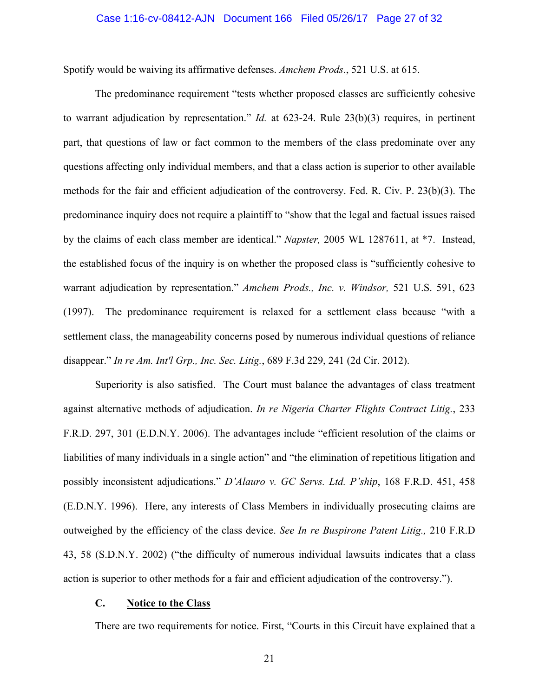#### Case 1:16-cv-08412-AJN Document 166 Filed 05/26/17 Page 27 of 32

Spotify would be waiving its affirmative defenses. *Amchem Prods*., 521 U.S. at 615.

The predominance requirement "tests whether proposed classes are sufficiently cohesive to warrant adjudication by representation." *Id.* at 623-24. Rule 23(b)(3) requires, in pertinent part, that questions of law or fact common to the members of the class predominate over any questions affecting only individual members, and that a class action is superior to other available methods for the fair and efficient adjudication of the controversy. Fed. R. Civ. P. 23(b)(3). The predominance inquiry does not require a plaintiff to "show that the legal and factual issues raised by the claims of each class member are identical." *Napster,* 2005 WL 1287611, at \*7. Instead, the established focus of the inquiry is on whether the proposed class is "sufficiently cohesive to warrant adjudication by representation." *Amchem Prods., Inc. v. Windsor,* 521 U.S. 591, 623 (1997).The predominance requirement is relaxed for a settlement class because "with a settlement class, the manageability concerns posed by numerous individual questions of reliance disappear." *In re Am. Int'l Grp., Inc. Sec. Litig.*, 689 F.3d 229, 241 (2d Cir. 2012).

Superiority is also satisfied. The Court must balance the advantages of class treatment against alternative methods of adjudication. *In re Nigeria Charter Flights Contract Litig.*, 233 F.R.D. 297, 301 (E.D.N.Y. 2006). The advantages include "efficient resolution of the claims or liabilities of many individuals in a single action" and "the elimination of repetitious litigation and possibly inconsistent adjudications." *D'Alauro v. GC Servs. Ltd. P'ship*, 168 F.R.D. 451, 458 (E.D.N.Y. 1996). Here, any interests of Class Members in individually prosecuting claims are outweighed by the efficiency of the class device. *See In re Buspirone Patent Litig.,* 210 F.R.D 43, 58 (S.D.N.Y. 2002) ("the difficulty of numerous individual lawsuits indicates that a class action is superior to other methods for a fair and efficient adjudication of the controversy.").

### **C. Notice to the Class**

There are two requirements for notice. First, "Courts in this Circuit have explained that a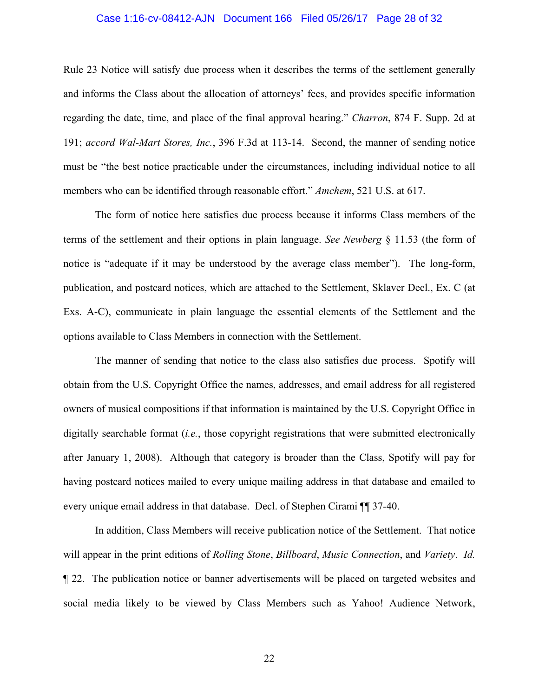#### Case 1:16-cv-08412-AJN Document 166 Filed 05/26/17 Page 28 of 32

Rule 23 Notice will satisfy due process when it describes the terms of the settlement generally and informs the Class about the allocation of attorneys' fees, and provides specific information regarding the date, time, and place of the final approval hearing." *Charron*, 874 F. Supp. 2d at 191; *accord Wal-Mart Stores, Inc.*, 396 F.3d at 113-14. Second, the manner of sending notice must be "the best notice practicable under the circumstances, including individual notice to all members who can be identified through reasonable effort." *Amchem*, 521 U.S. at 617.

The form of notice here satisfies due process because it informs Class members of the terms of the settlement and their options in plain language. *See Newberg* § 11.53 (the form of notice is "adequate if it may be understood by the average class member"). The long-form, publication, and postcard notices, which are attached to the Settlement, Sklaver Decl., Ex. C (at Exs. A-C), communicate in plain language the essential elements of the Settlement and the options available to Class Members in connection with the Settlement.

The manner of sending that notice to the class also satisfies due process. Spotify will obtain from the U.S. Copyright Office the names, addresses, and email address for all registered owners of musical compositions if that information is maintained by the U.S. Copyright Office in digitally searchable format (*i.e.*, those copyright registrations that were submitted electronically after January 1, 2008). Although that category is broader than the Class, Spotify will pay for having postcard notices mailed to every unique mailing address in that database and emailed to every unique email address in that database. Decl. of Stephen Cirami ¶¶ 37-40.

In addition, Class Members will receive publication notice of the Settlement. That notice will appear in the print editions of *Rolling Stone*, *Billboard*, *Music Connection*, and *Variety*. *Id.* ¶ 22. The publication notice or banner advertisements will be placed on targeted websites and social media likely to be viewed by Class Members such as Yahoo! Audience Network,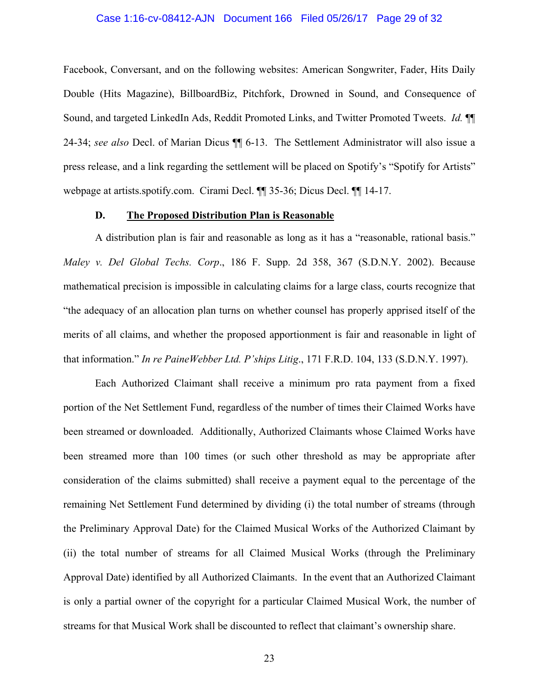#### Case 1:16-cv-08412-AJN Document 166 Filed 05/26/17 Page 29 of 32

Facebook, Conversant, and on the following websites: American Songwriter, Fader, Hits Daily Double (Hits Magazine), BillboardBiz, Pitchfork, Drowned in Sound, and Consequence of Sound, and targeted LinkedIn Ads, Reddit Promoted Links, and Twitter Promoted Tweets. *Id.* ¶¶ 24-34; *see also* Decl. of Marian Dicus ¶¶ 6-13. The Settlement Administrator will also issue a press release, and a link regarding the settlement will be placed on Spotify's "Spotify for Artists" webpage at artists.spotify.com. Cirami Decl. ¶¶ 35-36; Dicus Decl. ¶¶ 14-17.

## **D. The Proposed Distribution Plan is Reasonable**

A distribution plan is fair and reasonable as long as it has a "reasonable, rational basis." *Maley v. Del Global Techs. Corp*., 186 F. Supp. 2d 358, 367 (S.D.N.Y. 2002). Because mathematical precision is impossible in calculating claims for a large class, courts recognize that "the adequacy of an allocation plan turns on whether counsel has properly apprised itself of the merits of all claims, and whether the proposed apportionment is fair and reasonable in light of that information." *In re PaineWebber Ltd. P'ships Litig*., 171 F.R.D. 104, 133 (S.D.N.Y. 1997).

Each Authorized Claimant shall receive a minimum pro rata payment from a fixed portion of the Net Settlement Fund, regardless of the number of times their Claimed Works have been streamed or downloaded. Additionally, Authorized Claimants whose Claimed Works have been streamed more than 100 times (or such other threshold as may be appropriate after consideration of the claims submitted) shall receive a payment equal to the percentage of the remaining Net Settlement Fund determined by dividing (i) the total number of streams (through the Preliminary Approval Date) for the Claimed Musical Works of the Authorized Claimant by (ii) the total number of streams for all Claimed Musical Works (through the Preliminary Approval Date) identified by all Authorized Claimants. In the event that an Authorized Claimant is only a partial owner of the copyright for a particular Claimed Musical Work, the number of streams for that Musical Work shall be discounted to reflect that claimant's ownership share.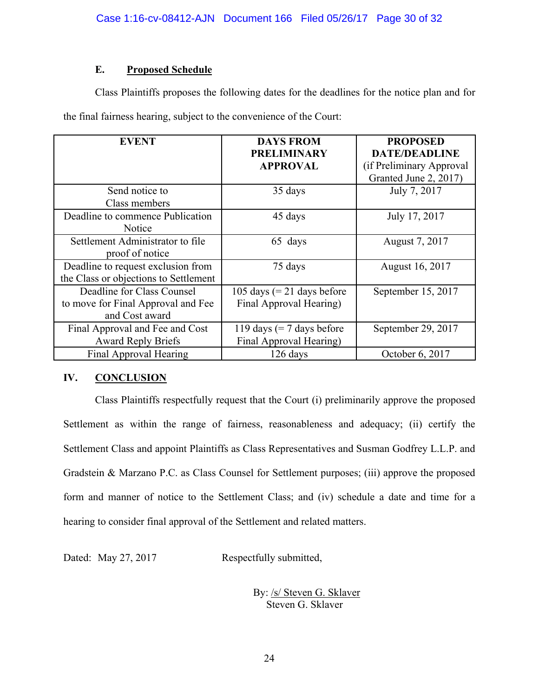# **E. Proposed Schedule**

Class Plaintiffs proposes the following dates for the deadlines for the notice plan and for the final fairness hearing, subject to the convenience of the Court:

| <b>EVENT</b>                                                                       | <b>DAYS FROM</b><br><b>PRELIMINARY</b><br><b>APPROVAL</b> | <b>PROPOSED</b><br><b>DATE/DEADLINE</b><br>(if Preliminary Approval<br>Granted June 2, 2017) |
|------------------------------------------------------------------------------------|-----------------------------------------------------------|----------------------------------------------------------------------------------------------|
| Send notice to<br>Class members                                                    | 35 days                                                   | July 7, 2017                                                                                 |
| Deadline to commence Publication<br>Notice                                         | 45 days                                                   | July 17, 2017                                                                                |
| Settlement Administrator to file<br>proof of notice                                | 65 days                                                   | August 7, 2017                                                                               |
| Deadline to request exclusion from<br>the Class or objections to Settlement        | 75 days                                                   | August 16, 2017                                                                              |
| Deadline for Class Counsel<br>to move for Final Approval and Fee<br>and Cost award | 105 days $(= 21$ days before<br>Final Approval Hearing)   | September 15, 2017                                                                           |
| Final Approval and Fee and Cost<br><b>Award Reply Briefs</b>                       | 119 days $(= 7$ days before<br>Final Approval Hearing)    | September 29, 2017                                                                           |
| Final Approval Hearing                                                             | 126 days                                                  | October 6, 2017                                                                              |

# **IV. CONCLUSION**

Class Plaintiffs respectfully request that the Court (i) preliminarily approve the proposed Settlement as within the range of fairness, reasonableness and adequacy; (ii) certify the Settlement Class and appoint Plaintiffs as Class Representatives and Susman Godfrey L.L.P. and Gradstein & Marzano P.C. as Class Counsel for Settlement purposes; (iii) approve the proposed form and manner of notice to the Settlement Class; and (iv) schedule a date and time for a hearing to consider final approval of the Settlement and related matters.

Dated: May 27, 2017 Respectfully submitted,

By: /s/ Steven G. Sklaver Steven G. Sklaver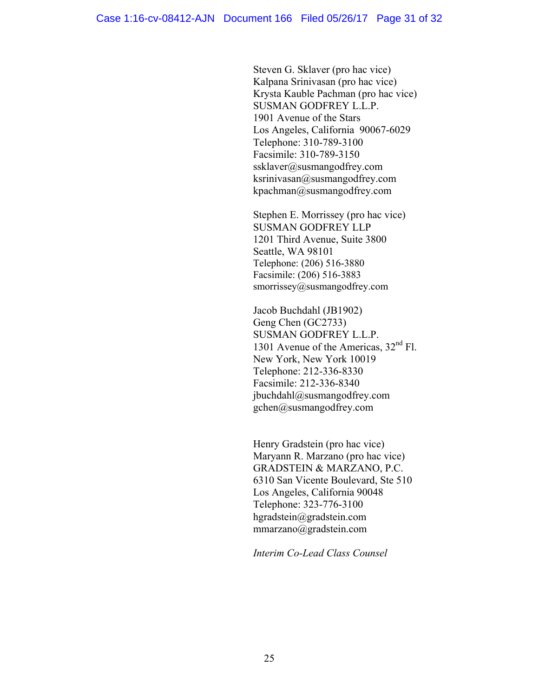Steven G. Sklaver (pro hac vice) Kalpana Srinivasan (pro hac vice) Krysta Kauble Pachman (pro hac vice) SUSMAN GODFREY L.L.P. 1901 Avenue of the Stars Los Angeles, California 90067-6029 Telephone: 310-789-3100 Facsimile: 310-789-3150 ssklaver@susmangodfrey.com ksrinivasan@susmangodfrey.com kpachman@susmangodfrey.com

Stephen E. Morrissey (pro hac vice) SUSMAN GODFREY LLP 1201 Third Avenue, Suite 3800 Seattle, WA 98101 Telephone: (206) 516-3880 Facsimile: (206) 516-3883 smorrissey@susmangodfrey.com

Jacob Buchdahl (JB1902) Geng Chen (GC2733) SUSMAN GODFREY L.L.P. 1301 Avenue of the Americas,  $32<sup>nd</sup>$  Fl. New York, New York 10019 Telephone: 212-336-8330 Facsimile: 212-336-8340 jbuchdahl@susmangodfrey.com gchen@susmangodfrey.com

Henry Gradstein (pro hac vice) Maryann R. Marzano (pro hac vice) GRADSTEIN & MARZANO, P.C. 6310 San Vicente Boulevard, Ste 510 Los Angeles, California 90048 Telephone: 323-776-3100 hgradstein@gradstein.com mmarzano@gradstein.com

*Interim Co-Lead Class Counsel*